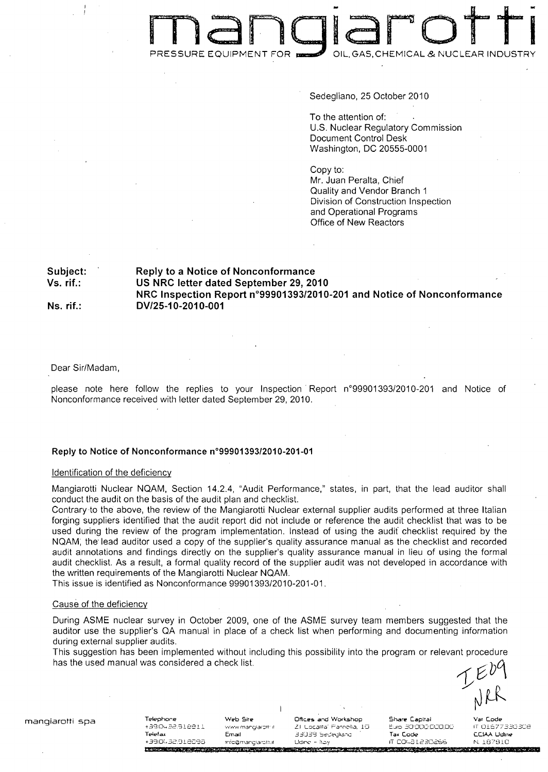# man diarotti RESSURE EQUIPMENT FOR **DEAL** OIL, GAS, CHEMICAL & NUCLEAR INDUST

Sedegliano, 25 October 2010

To the attention of: U.S. Nuclear Regulatory Commission Document Control Desk Washington, DC 20555-0001

Copy to: Mr. Juan Peralta, Chief Quality and Vendor Branch 1 Division of Construction Inspection and Operational Programs Office of New Reactors

# Subject: Reply to a Notice of Nonconformance Vs. rif.: **US** NRC letter dated September **29,** 2010 NRC Inspection Report n°99901393/2010-201 and Notice of Nonconformance Ns. rif.: **DV/25-10-2010-001**

Dear Sir/Madam,

please note here follow the replies to your Inspection Report n°99901393/2010-201 and Notice of Nonconformance received with letter dated September 29, 2010.

# Reply to Notice of Nonconformance n°9990139312010-201-01

#### Identification of the deficiency

Mangiarotti Nuclear NQAM, Section 14.2.4, "Audit Performance," states, in part, that the lead auditor shall conduct the audit on the basis of the audit plan and checklist.

Contrary-to the above, the review of the Mangiarotti Nuclear external supplier audits performed at three Italian forging suppliers identified that the audit report did not include or reference the audit checklist that was to be used during the review of the program implementation. Instead of using the audif checklist required by the NQAM, the lead auditor used a copy of the supplier's quality assurance manual as the checklist and recorded audit annotations and findings directly on the supplier's quality assurance manual in lieu of using the formal audit checklist. As a result, a formal quality record of the supplier audit was not developed in accordance with the written requirements of the Mangiarotti Nuclear NQAM.

This issue is identified as Nonconformance 99901393/2010-201-01.

#### Cause of the deficiency

During ASME nuclear survey in October 2009, one of the ASME survey team members suggested that the auditor use the supplier's QA manual in place of a check list when performing and documenting information during external supplier audits.

This suggestion has been implemented without including this possibility into the program or relevant procedure has the used manual was considered a check list.

!,-.•ij•1 -I " **-,.mrn** ,\_ro **ZI Lcali"** r **1,t** l to **0i0 C** O,OC **IT 00 ,7\_T7 03a** Tetefa Email \_"'ZJEL cge-Jlia•c **Tax** Code *CCJAA* **Udlne +30,.,32.-: E** , **Udnc** - **T2, IT CC(- ý** *t P* , **F73i.9ICA MILLION CONTRACTORY AND INCOME.** 

**TALLIST FOR THE CARD OF A STATE** 

mangiarotti spa Telephore **Web** Site **Offices** and Workshop **Share** Capital **Var** Code **The Editor Control** 

government of the company of the company

**CONTRACTOR**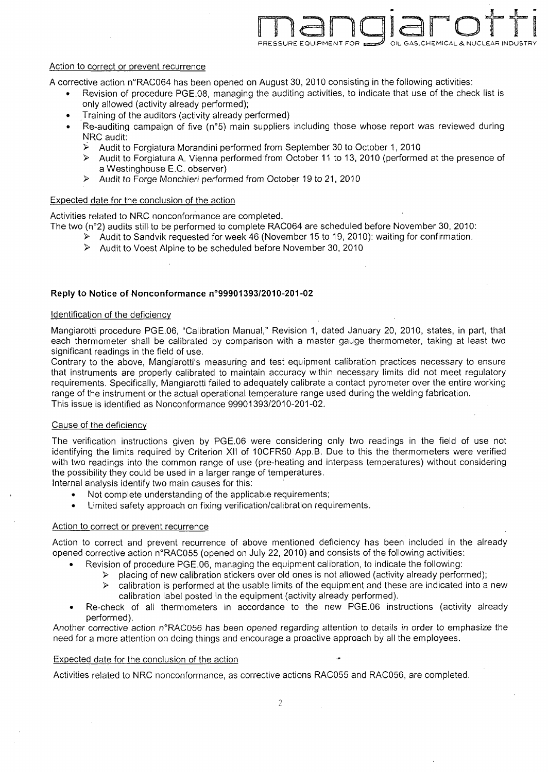

# Action to correct or prevent recurrence

A corrective action n°RAC064 has been opened on August 30, 2010 consisting in the following activities:

- **"** Revision of procedure PGE.08, managing the auditing activities, to indicate that use of the check list is only allowed (activity already performed);
- Training of the auditors (activity already performed)
- Re-auditing campaign of five (n°5) main suppliers including those whose report was reviewed during NRC audit:
	- **ý,** Audit to Forgiatura Morandini performed from September 30 to October 1, 2010
	- > Audit to Forgiatura A. Vienna performed from October 11 to 13, 2010 (performed at the presence of a Westinghouse E.C. observer)
	- **>** Audit to Forge Monchieri performed from October 19 to 21, 2010

### Expected date for the conclusion of the action

Activities related to NRC nonconformance are completed. The two (n°2) audits still to be performed to complete RAC064 are scheduled before November 30, 2010:

- **>** Audit to Sandvik requested for week 46 (November 15 to 19, 2010): waiting for confirmation.
- > Audit to Voest Alpine to be scheduled before November 30, 2010

#### Reply to Notice of Nonconformance n°99901393/2010-201-02

#### Identification of the deficiency

Mangiarotti procedure PGE.06, "Calibration Manual," Revision 1, dated January 20, 2010, states, in part, that each thermometer shall be calibrated by comparison with a master gauge thermometer, taking at least two significant readings in the field of use.

Contrary to the above, Mangiarotti's measuring and test equipment calibration practices necessary to ensure that instruments are properly calibrated to maintain accuracy within necessary limits did not meet regulatory requirements. Specifically, Mangiarotti failed to adequately calibrate a contact pyrometer over the entire working range of the instrument or the actual operational temperature range used during the welding fabrication. This issue is identified as Nonconformance 99901393/2010-201-02.

#### Cause of the deficiency

The verification instructions given by PGE.06 were considering only two readings in the field of use not identifying the limits required by Criterion XII of 10CFR50 App.B. Due to this the thermometers were verified with two readings into the common range of use (pre-heating and interpass temperatures) without considering the possibility they could be used in a larger range of temperatures.

Internal analysis identify two main causes for this:

- Not complete understanding of the applicable requirements;
- Limited safety approach on fixing verification/calibration requirements.

# Action to correct or prevent recurrence

Action to correct and prevent recurrence of above mentioned deficiency has been included in the already opened corrective action n'RAC055 (opened on July 22, 2010) and consists of the following activities:

- Revision of procedure PGE.06, managing the equipment calibration, to indicate the following:
- $\triangleright$  placing of new calibration stickers over old ones is not allowed (activity already performed);
	- $\triangleright$  calibration is performed at the usable limits of the equipment and these are indicated into a new calibration label posted in the equipment (activity already performed).
- Re-check of all thermometers in accordance to the new PGE.06 instructions (activity already performed).

Another corrective action n°RAC056 has been opened regarding attention to details in order to emphasize the need for a more attention on doing things and encourage a proactive approach by all the employees.

#### Expected date for the conclusion of the action

Activities related to NRC nonconformance, as corrective actions **RAC055** and RAC056, are completed.